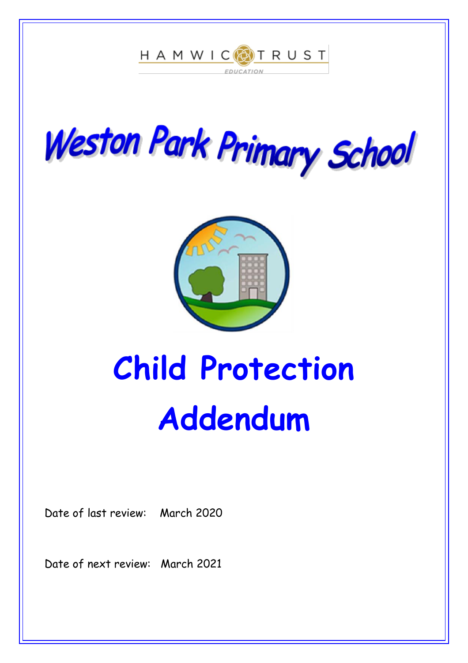





# **Child Protection Addendum**

Date of last review: March 2020

Date of next review: March 2021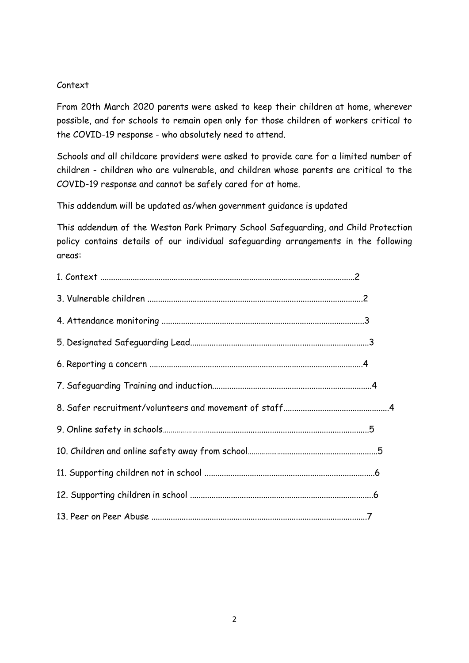## Context

From 20th March 2020 parents were asked to keep their children at home, wherever possible, and for schools to remain open only for those children of workers critical to the COVID-19 response - who absolutely need to attend.

Schools and all childcare providers were asked to provide care for a limited number of children - children who are vulnerable, and children whose parents are critical to the COVID-19 response and cannot be safely cared for at home.

This addendum will be updated as/when government guidance is updated

This addendum of the Weston Park Primary School Safeguarding, and Child Protection policy contains details of our individual safeguarding arrangements in the following areas: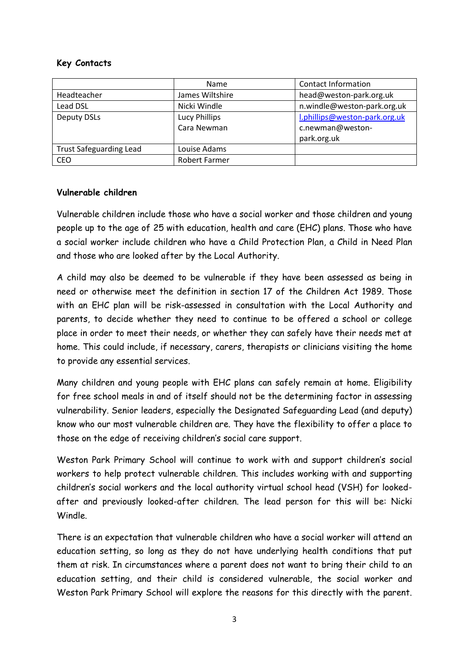## **Key Contacts**

|                                | Name                 | <b>Contact Information</b>    |
|--------------------------------|----------------------|-------------------------------|
| Headteacher                    | James Wiltshire      | head@weston-park.org.uk       |
| Lead DSL                       | Nicki Windle         | n.windle@weston-park.org.uk   |
| <b>Deputy DSLs</b>             | Lucy Phillips        | l.phillips@weston-park.org.uk |
|                                | Cara Newman          | c.newman@weston-              |
|                                |                      | park.org.uk                   |
| <b>Trust Safeguarding Lead</b> | Louise Adams         |                               |
| <b>CEO</b>                     | <b>Robert Farmer</b> |                               |

## **Vulnerable children**

Vulnerable children include those who have a social worker and those children and young people up to the age of 25 with education, health and care (EHC) plans. Those who have a social worker include children who have a Child Protection Plan, a Child in Need Plan and those who are looked after by the Local Authority.

A child may also be deemed to be vulnerable if they have been assessed as being in need or otherwise meet the definition in section 17 of the Children Act 1989. Those with an EHC plan will be risk-assessed in consultation with the Local Authority and parents, to decide whether they need to continue to be offered a school or college place in order to meet their needs, or whether they can safely have their needs met at home. This could include, if necessary, carers, therapists or clinicians visiting the home to provide any essential services.

Many children and young people with EHC plans can safely remain at home. Eligibility for free school meals in and of itself should not be the determining factor in assessing vulnerability. Senior leaders, especially the Designated Safeguarding Lead (and deputy) know who our most vulnerable children are. They have the flexibility to offer a place to those on the edge of receiving children's social care support.

Weston Park Primary School will continue to work with and support children's social workers to help protect vulnerable children. This includes working with and supporting children's social workers and the local authority virtual school head (VSH) for lookedafter and previously looked-after children. The lead person for this will be: Nicki Windle.

There is an expectation that vulnerable children who have a social worker will attend an education setting, so long as they do not have underlying health conditions that put them at risk. In circumstances where a parent does not want to bring their child to an education setting, and their child is considered vulnerable, the social worker and Weston Park Primary School will explore the reasons for this directly with the parent.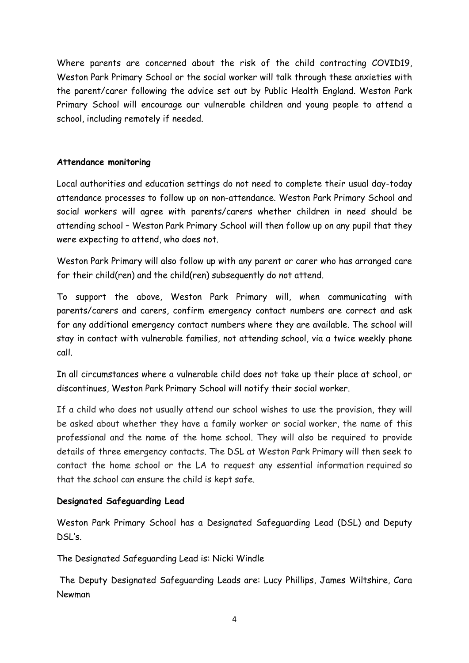Where parents are concerned about the risk of the child contracting COVID19, Weston Park Primary School or the social worker will talk through these anxieties with the parent/carer following the advice set out by Public Health England. Weston Park Primary School will encourage our vulnerable children and young people to attend a school, including remotely if needed.

## **Attendance monitoring**

Local authorities and education settings do not need to complete their usual day-today attendance processes to follow up on non-attendance. Weston Park Primary School and social workers will agree with parents/carers whether children in need should be attending school – Weston Park Primary School will then follow up on any pupil that they were expecting to attend, who does not.

Weston Park Primary will also follow up with any parent or carer who has arranged care for their child(ren) and the child(ren) subsequently do not attend.

To support the above, Weston Park Primary will, when communicating with parents/carers and carers, confirm emergency contact numbers are correct and ask for any additional emergency contact numbers where they are available. The school will stay in contact with vulnerable families, not attending school, via a twice weekly phone call.

In all circumstances where a vulnerable child does not take up their place at school, or discontinues, Weston Park Primary School will notify their social worker.

If a child who does not usually attend our school wishes to use the provision, they will be asked about whether they have a family worker or social worker, the name of this professional and the name of the home school. They will also be required to provide details of three emergency contacts. The DSL at Weston Park Primary will then seek to contact the home school or the LA to request any essential information required so that the school can ensure the child is kept safe.

## **Designated Safeguarding Lead**

Weston Park Primary School has a Designated Safeguarding Lead (DSL) and Deputy DSL's.

The Designated Safeguarding Lead is: Nicki Windle

The Deputy Designated Safeguarding Leads are: Lucy Phillips, James Wiltshire, Cara Newman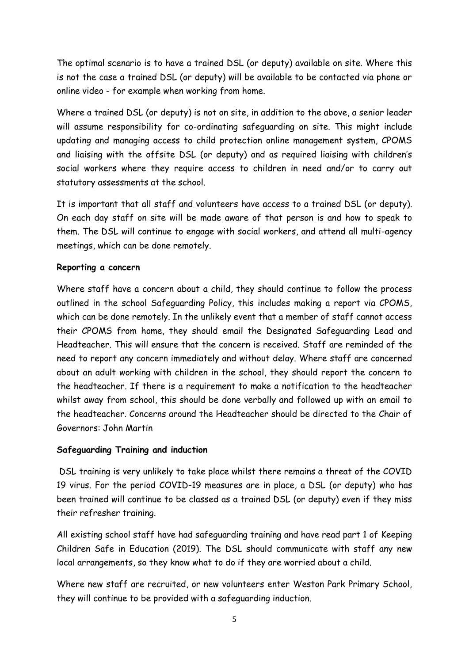The optimal scenario is to have a trained DSL (or deputy) available on site. Where this is not the case a trained DSL (or deputy) will be available to be contacted via phone or online video - for example when working from home.

Where a trained DSL (or deputy) is not on site, in addition to the above, a senior leader will assume responsibility for co-ordinating safeguarding on site. This might include updating and managing access to child protection online management system, CPOMS and liaising with the offsite DSL (or deputy) and as required liaising with children's social workers where they require access to children in need and/or to carry out statutory assessments at the school.

It is important that all staff and volunteers have access to a trained DSL (or deputy). On each day staff on site will be made aware of that person is and how to speak to them. The DSL will continue to engage with social workers, and attend all multi-agency meetings, which can be done remotely.

## **Reporting a concern**

Where staff have a concern about a child, they should continue to follow the process outlined in the school Safeguarding Policy, this includes making a report via CPOMS, which can be done remotely. In the unlikely event that a member of staff cannot access their CPOMS from home, they should email the Designated Safeguarding Lead and Headteacher. This will ensure that the concern is received. Staff are reminded of the need to report any concern immediately and without delay. Where staff are concerned about an adult working with children in the school, they should report the concern to the headteacher. If there is a requirement to make a notification to the headteacher whilst away from school, this should be done verbally and followed up with an email to the headteacher. Concerns around the Headteacher should be directed to the Chair of Governors: John Martin

# **Safeguarding Training and induction**

DSL training is very unlikely to take place whilst there remains a threat of the COVID 19 virus. For the period COVID-19 measures are in place, a DSL (or deputy) who has been trained will continue to be classed as a trained DSL (or deputy) even if they miss their refresher training.

All existing school staff have had safeguarding training and have read part 1 of Keeping Children Safe in Education (2019). The DSL should communicate with staff any new local arrangements, so they know what to do if they are worried about a child.

Where new staff are recruited, or new volunteers enter Weston Park Primary School, they will continue to be provided with a safeguarding induction.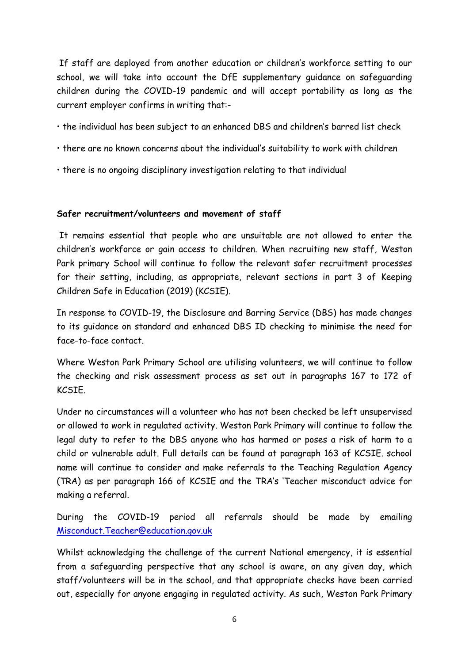If staff are deployed from another education or children's workforce setting to our school, we will take into account the DfE supplementary guidance on safeguarding children during the COVID-19 pandemic and will accept portability as long as the current employer confirms in writing that:-

- the individual has been subject to an enhanced DBS and children's barred list check
- there are no known concerns about the individual's suitability to work with children
- there is no ongoing disciplinary investigation relating to that individual

#### **Safer recruitment/volunteers and movement of staff**

It remains essential that people who are unsuitable are not allowed to enter the children's workforce or gain access to children. When recruiting new staff, Weston Park primary School will continue to follow the relevant safer recruitment processes for their setting, including, as appropriate, relevant sections in part 3 of Keeping Children Safe in Education (2019) (KCSIE).

In response to COVID-19, the Disclosure and Barring Service (DBS) has made changes to its guidance on standard and enhanced DBS ID checking to minimise the need for face-to-face contact.

Where Weston Park Primary School are utilising volunteers, we will continue to follow the checking and risk assessment process as set out in paragraphs 167 to 172 of KCSIE.

Under no circumstances will a volunteer who has not been checked be left unsupervised or allowed to work in regulated activity. Weston Park Primary will continue to follow the legal duty to refer to the DBS anyone who has harmed or poses a risk of harm to a child or vulnerable adult. Full details can be found at paragraph 163 of KCSIE. school name will continue to consider and make referrals to the Teaching Regulation Agency (TRA) as per paragraph 166 of KCSIE and the TRA's 'Teacher misconduct advice for making a referral.

During the COVID-19 period all referrals should be made by emailing [Misconduct.Teacher@education.gov.uk](mailto:Misconduct.Teacher@education.gov.uk)

Whilst acknowledging the challenge of the current National emergency, it is essential from a safeguarding perspective that any school is aware, on any given day, which staff/volunteers will be in the school, and that appropriate checks have been carried out, especially for anyone engaging in regulated activity. As such, Weston Park Primary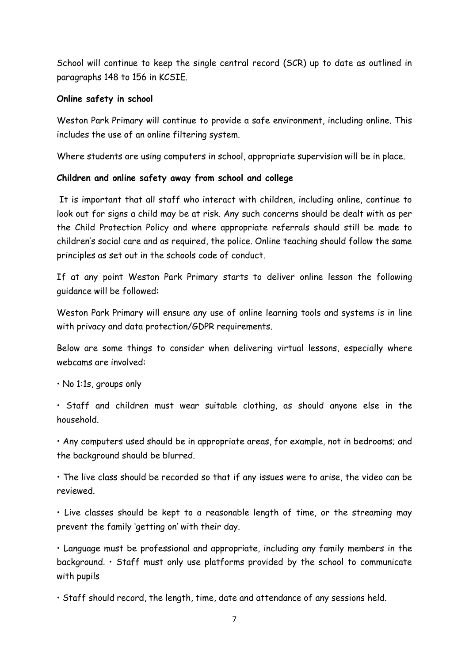School will continue to keep the single central record (SCR) up to date as outlined in paragraphs 148 to 156 in KCSIE.

## **Online safety in school**

Weston Park Primary will continue to provide a safe environment, including online. This includes the use of an online filtering system.

Where students are using computers in school, appropriate supervision will be in place.

# **Children and online safety away from school and college**

It is important that all staff who interact with children, including online, continue to look out for signs a child may be at risk. Any such concerns should be dealt with as per the Child Protection Policy and where appropriate referrals should still be made to children's social care and as required, the police. Online teaching should follow the same principles as set out in the schools code of conduct.

If at any point Weston Park Primary starts to deliver online lesson the following guidance will be followed:

Weston Park Primary will ensure any use of online learning tools and systems is in line with privacy and data protection/GDPR requirements.

Below are some things to consider when delivering virtual lessons, especially where webcams are involved:

• No 1:1s, groups only

• Staff and children must wear suitable clothing, as should anyone else in the household.

• Any computers used should be in appropriate areas, for example, not in bedrooms; and the background should be blurred.

• The live class should be recorded so that if any issues were to arise, the video can be reviewed.

• Live classes should be kept to a reasonable length of time, or the streaming may prevent the family 'getting on' with their day.

• Language must be professional and appropriate, including any family members in the background. • Staff must only use platforms provided by the school to communicate with pupils

• Staff should record, the length, time, date and attendance of any sessions held.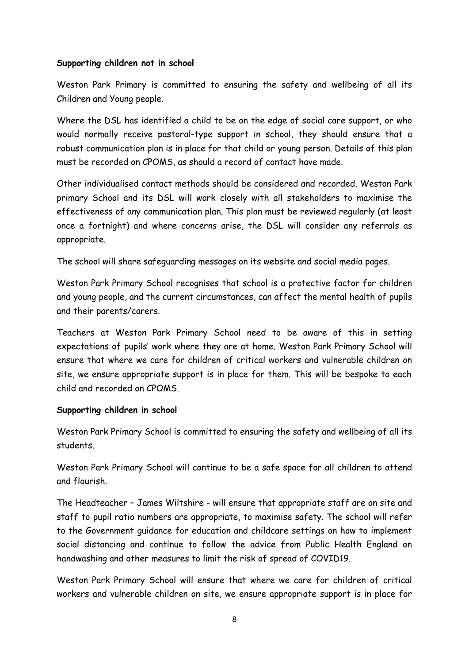#### **Supporting children not in school**

Weston Park Primary is committed to ensuring the safety and wellbeing of all its Children and Young people.

Where the DSL has identified a child to be on the edge of social care support, or who would normally receive pastoral-type support in school, they should ensure that a robust communication plan is in place for that child or young person. Details of this plan must be recorded on CPOMS, as should a record of contact have made.

Other individualised contact methods should be considered and recorded. Weston Park primary School and its DSL will work closely with all stakeholders to maximise the effectiveness of any communication plan. This plan must be reviewed regularly (at least once a fortnight) and where concerns arise, the DSL will consider any referrals as appropriate.

The school will share safeguarding messages on its website and social media pages.

Weston Park Primary School recognises that school is a protective factor for children and young people, and the current circumstances, can affect the mental health of pupils and their parents/carers.

Teachers at Weston Park Primary School need to be aware of this in setting expectations of pupils' work where they are at home. Weston Park Primary School will ensure that where we care for children of critical workers and vulnerable children on site, we ensure appropriate support is in place for them. This will be bespoke to each child and recorded on CPOMS.

## **Supporting children in school**

Weston Park Primary School is committed to ensuring the safety and wellbeing of all its students.

Weston Park Primary School will continue to be a safe space for all children to attend and flourish.

The Headteacher – James Wiltshire - will ensure that appropriate staff are on site and staff to pupil ratio numbers are appropriate, to maximise safety. The school will refer to the Government guidance for education and childcare settings on how to implement social distancing and continue to follow the advice from Public Health England on handwashing and other measures to limit the risk of spread of COVID19.

Weston Park Primary School will ensure that where we care for children of critical workers and vulnerable children on site, we ensure appropriate support is in place for